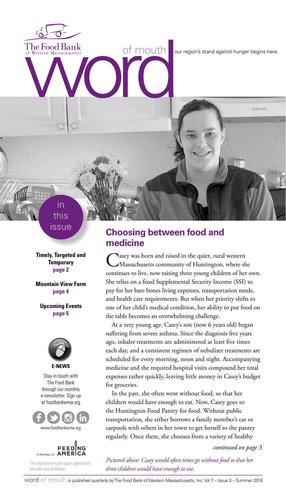The Food Bank<br>of Western Massachusetts<br> **Western Massachusetts**<br> **SAMSUNG**<br> **Example 2014**<br> **Examsung**<br> **Examsung**<br> **Examsung** 

this issue

in

**Timely, Targeted and Temporary page 2**

**Mountain View Farm page 4**

**Upcoming Events page 5**



Stay in touch with The Food Bank through our monthly e-newsletter. Sign up at foodbankwma.org





This institution is an equal opportunity provider and employer.

## **Choosing between food and medicine**

Casey was born and raised in the quiet, rural western Massachusetts community of Huntington, where she continues to live, now raising three young children of her own. She relies on a fixed Supplemental Security Income (SSI) to pay for her bare bones living expenses, transportation needs, and health care requirements. But when her priority shifts to one of her child's medical condition, her ability to put food on the table becomes an overwhelming challenge.

At a very young age, Casey's son (now 6 years old) began suffering from severe asthma. Since the diagnosis five years ago, inhaler treatments are administered at least five times each day, and a consistent regimen of nebulizer treatments are scheduled for every morning, noon and night. Accompanying medicine and the required hospital visits compound her total expenses rather quickly, leaving little money in Casey's budget for groceries.

In the past, she often went without food, so that her children would have enough to eat. Now, Casey goes to the Huntington Food Pantry for food. Without public transportation, she either borrows a family member's car or carpools with others in her town to get herself to the pantry regularly. Once there, she chooses from a variety of healthy

*continued on page 3*

*Pictured above: Casey would often times go without food so that her three children would have enough to eat.*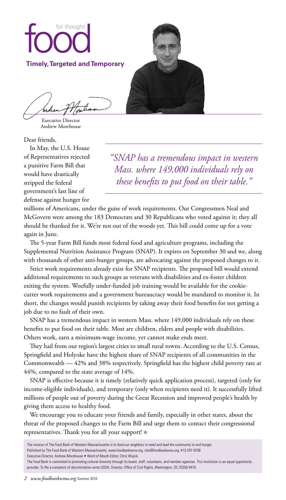

Executive Director Andrew Morehouse

Dear friends,

In May, the U.S. House of Representatives rejected a punitive Farm Bill that would have drastically stripped the federal government's last line of defense against hunger for

*"SNAP has a tremendous impact in western Mass. where 149,000 individuals rely on these benefits to put food on their table."*

millions of Americans, under the guise of work requirements. Our Congressmen Neal and McGovern were among the 183 Democrats and 30 Republicans who voted against it; they all should be thanked for it. We're not out of the woods yet. This bill could come up for a vote again in June.

The 5-year Farm Bill funds most federal food and agriculture programs, including the Supplemental Nutrition Assistance Program (SNAP). It expires on September 30 and we, along with thousands of other anti-hunger groups, are advocating against the proposed changes to it.

Strict work requirements already exist for SNAP recipients. The proposed bill would extend additional requirements to such groups as veterans with disabilities and ex-foster children exiting the system. Woefully under-funded job training would be available for the cookiecutter work requirements and a government bureaucracy would be mandated to monitor it. In short, the changes would punish recipients by taking away their food benefits for not getting a job due to no fault of their own.

SNAP has a tremendous impact in western Mass. where 149,000 individuals rely on these benefits to put food on their table. Most are children, elders and people with disabilities. Others work, earn a minimum-wage income, yet cannot make ends meet.

They hail from our region's largest cities to small rural towns. According to the U.S. Census, Springfield and Holyoke have the highest share of SNAP recipients of all communities in the Commonwealth — 42% and 38% respectively. Springfield has the highest child poverty rate at 44%, compared to the state average of 14%.

SNAP is effective because it is timely (relatively quick application process), targeted (only for income-eligible individuals), and temporary (only when recipients need it). It successfully lifted millions of people out of poverty during the Great Recession and improved people's health by giving them access to healthy food.

We encourage you to educate your friends and family, especially in other states, about the threat of the proposed changes to the Farm Bill and urge them to contact their congressional representatives. Thank you for all your support! ●

Published by The Food Bank of Western Massachusetts, www.foodbankwma.org, info@foodbankwma.org, 413-247-9738

Executive Director, Andrew Morehouse • Word of Mouth Editor, Chris Wojcik

The mission of The Food Bank of Western Massachusetts is to feed our neighbors in need and lead the community to end hunger.

The Food Bank is committed to promoting cultural diversity through its board, staff, volunteers, and member agencies. This Institution is an equal opportunity provider. To file a complaint of discrimination write USDA, Director, Office of Civil Rights, Washington, DC 20250-9410.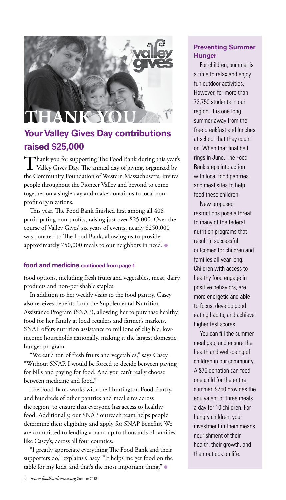# **THAN**

# **Your Valley Gives Day contributions raised \$25,000**

Thank you for supporting The Food Bank during this year's Valley Gives Day. The annual day of giving, organized by the Community Foundation of Western Massachusetts, invites people throughout the Pioneer Valley and beyond to come together on a single day and make donations to local nonprofit organizations.

This year, The Food Bank finished first among all 408 participating non-profits, raising just over \$25,000. Over the course of Valley Gives' six years of events, nearly \$250,000 was donated to The Food Bank, allowing us to provide approximately 750,000 meals to our neighbors in need. ●

#### **food and medicine continued from page 1**

food options, including fresh fruits and vegetables, meat, dairy products and non-perishable staples.

In addition to her weekly visits to the food pantry, Casey also receives benefits from the Supplemental Nutrition Assistance Program (SNAP), allowing her to purchase healthy food for her family at local retailers and farmer's markets. SNAP offers nutrition assistance to millions of eligible, lowincome households nationally, making it the largest domestic hunger program.

"We eat a ton of fresh fruits and vegetables," says Casey. "Without SNAP, I would be forced to decide between paying for bills and paying for food. And you can't really choose between medicine and food."

The Food Bank works with the Huntington Food Pantry, and hundreds of other pantries and meal sites across the region, to ensure that everyone has access to healthy food. Additionally, our SNAP outreach team helps people determine their eligibility and apply for SNAP benefits. We are committed to lending a hand up to thousands of families like Casey's, across all four counties.

"I greatly appreciate everything The Food Bank and their supporters do," explains Casey. "It helps me get food on the table for my kids, and that's the most important thing." ●

### **Preventing Summer Hunger**

For children, summer is a time to relax and enjoy fun outdoor activities. However, for more than 73,750 students in our region, it is one long summer away from the free breakfast and lunches at school that they count on. When that final bell rings in June, The Food Bank steps into action with local food pantries and meal sites to help feed these children.

New proposed restrictions pose a threat to many of the federal nutrition programs that result in successful outcomes for children and families all year long. Children with access to healthy food engage in positive behaviors, are more energetic and able to focus, develop good eating habits, and achieve higher test scores.

You can fill the summer meal gap, and ensure the health and well-being of children in our community. A \$75 donation can feed one child for the entire summer. \$750 provides the equivalent of three meals a day for 10 children. For hungry children, your investment in them means nourishment of their health, their growth, and their outlook on life.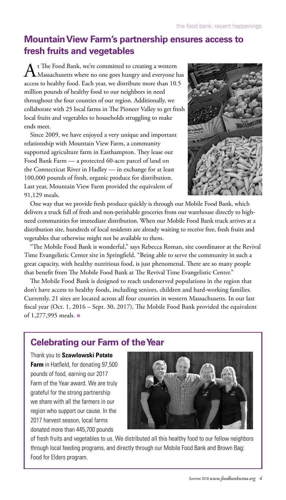# **Mountain View Farm's partnership ensures access to fresh fruits and vegetables**

A t The Food Bank, we're committed to creating a western<br>Massachusetts where no one goes hungry and everyone has access to healthy food. Each year, we distribute more than 10.5 million pounds of healthy food to our neighbors in need throughout the four counties of our region. Additionally, we collaborate with 25 local farms in The Pioneer Valley to get fresh local fruits and vegetables to households struggling to make ends meet.

Since 2009, we have enjoyed a very unique and important relationship with Mountain View Farm, a community supported agriculture farm in Easthampton. They lease our Food Bank Farm — a protected 60-acre parcel of land on the Connecticut River in Hadley — in exchange for at least 100,000 pounds of fresh, organic produce for distribution. Last year, Mountain View Farm provided the equivalent of 91,129 meals.



One way that we provide fresh produce quickly is through our Mobile Food Bank, which delivers a truck full of fresh and non-perishable groceries from our warehouse directly to highneed communities for immediate distribution. When our Mobile Food Bank truck arrives at a distribution site, hundreds of local residents are already waiting to receive free, fresh fruits and vegetables that otherwise might not be available to them.

"The Mobile Food Bank is wonderful," says Rebecca Roman, site coordinator at the Revival Time Evangelistic Center site in Springfield. "Being able to serve the community in such a great capacity, with healthy nutritious food, is just phenomenal. There are so many people that benefit from The Mobile Food Bank at The Revival Time Evangelistic Center."

The Mobile Food Bank is designed to reach underserved populations in the region that don't have access to healthy foods, including seniors, children and hard-working families. Currently, 21 sites are located across all four counties in western Massachusetts. In our last fiscal year (Oct. 1, 2016 – Sept. 30, 2017), The Mobile Food Bank provided the equivalent of 1,277,995 meals. ●

# **Celebrating our Farm of the Year**

Thank you to **Szawlowski Potato Farm** in Hatfield, for donating 97,500 pounds of food, earning our 2017 Farm of the Year award. We are truly grateful for the strong partnership we share with all the farmers in our region who support our cause. In the 2017 harvest season, local farms donated more than 445,700 pounds



of fresh fruits and vegetables to us. We distributed all this healthy food to our fellow neighbors through local feeding programs, and directly through our Mobile Food Bank and Brown Bag: Food for Elders program.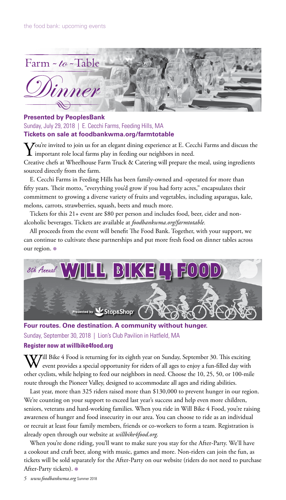

#### **Presented by PeoplesBank**

Sunday, July 29, 2018 | E. Cecchi Farms, Feeding Hills, MA **Tickets on sale at foodbankwma.org/farmtotable**

 $\sum$  Jou're invited to join us for an elegant dining experience at E. Cecchi Farms and discuss the  $\bm{1}$  important role local farms play in feeding our neighbors in need.

Creative chefs at Wheelhouse Farm Truck & Catering will prepare the meal, using ingredients sourced directly from the farm.

E. Cecchi Farms in Feeding Hills has been family-owned and -operated for more than fifty years. Their motto, "everything you'd grow if you had forty acres," encapsulates their commitment to growing a diverse variety of fruits and vegetables, including asparagus, kale, melons, carrots, strawberries, squash, beets and much more.

Tickets for this 21+ event are \$80 per person and includes food, beer, cider and nonalcoholic beverages. Tickets are available at *foodbankwma.org/farmtotable.* 

All proceeds from the event will benefit The Food Bank. Together, with your support, we can continue to cultivate these partnerships and put more fresh food on dinner tables across our region. ●



**Four routes. One destination. A community without hunger.** Sunday, September 30, 2018 | Lion's Club Pavilion in Hatfield, MA

#### **Register now at willbike4food.org**

 $V$ ill Bike 4 Food is returning for its eighth year on Sunday, September 30. This exciting event provides a special opportunity for riders of all ages to enjoy a fun-filled day with other cyclists, while helping to feed our neighbors in need. Choose the 10, 25, 50, or 100-mile route through the Pioneer Valley, designed to accommodate all ages and riding abilities.

Last year, more than 325 riders raised more than \$130,000 to prevent hunger in our region. We're counting on your support to exceed last year's success and help even more children, seniors, veterans and hard-working families. When you ride in Will Bike 4 Food, you're raising awareness of hunger and food insecurity in our area. You can choose to ride as an individual or recruit at least four family members, friends or co-workers to form a team. Registration is already open through our website at *willbike4food.org.*

When you're done riding, you'll want to make sure you stay for the After-Party. We'll have a cookout and craft beer, along with music, games and more. Non-riders can join the fun, as tickets will be sold separately for the After-Party on our website (riders do not need to purchase After-Party tickets). ●